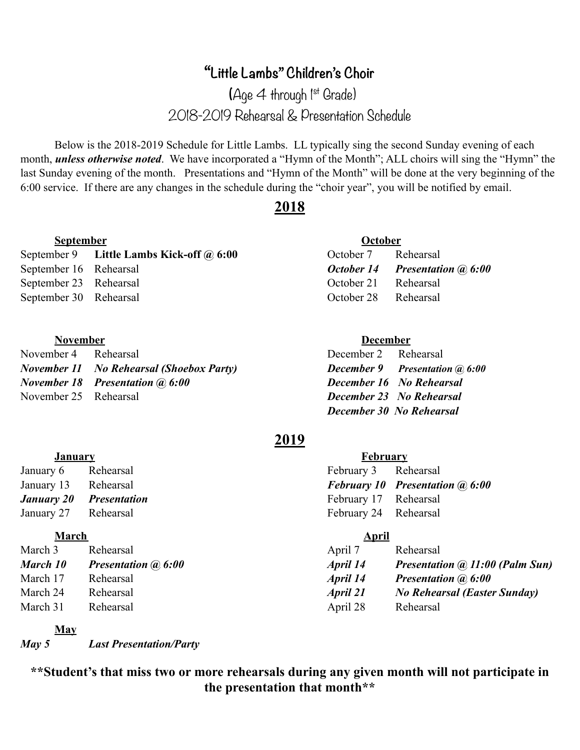# **"Little Lambs" Children's Choir**

 $(Aae \nightharpoonup throuah \nightharpoonup s^t$  Grade) 2018-2019 Rehearsal & Presentation Schedule

 Below is the 2018-2019 Schedule for Little Lambs. LL typically sing the second Sunday evening of each month, *unless otherwise noted*. We have incorporated a "Hymn of the Month"; ALL choirs will sing the "Hymn" the last Sunday evening of the month. Presentations and "Hymn of the Month" will be done at the very beginning of the 6:00 service. If there are any changes in the schedule during the "choir year", you will be notified by email.

## **2018**

### **September October**

September 9 **Little Lambs Kick-off @ 6:00** October 7 Rehearsal September 16 Rehearsal *October 14 Presentation @ 6:00* September 23 Rehearsal October 21 Rehearsal September 30 Rehearsal October 28 Rehearsal

### **November December**

*January 20* Presentation January 27 Rehearsal

November 4 Rehearsal December 2 Rehearsal *November 11 No Rehearsal (Shoebox Party) December 9 Presentation @ 6:00 November 18* Presentation @ 6:00 December 16 No Rehearsal November 25 Rehearsal *December 23 No Rehearsal*

 *December 30 No Rehearsal*

## **2019**

| <b>January</b>       |                                | <b>February</b>       |                                          |
|----------------------|--------------------------------|-----------------------|------------------------------------------|
| January 6 Rehearsal  |                                | February 3 Rehearsal  |                                          |
| January 13 Rehearsal |                                |                       | <b>February 10 Presentation (a) 6:00</b> |
|                      | <b>January 20 Presentation</b> | February 17 Rehearsal |                                          |
| January 27 Rehearsal |                                | February 24 Rehearsal |                                          |

### **March April**

| March 3  | Rehearsal                  | April 7  | Rehearsal                              |
|----------|----------------------------|----------|----------------------------------------|
| March 10 | <b>Presentation @ 6:00</b> | April 14 | <b>Presentation @ 11:00 (Palm Sun)</b> |
| March 17 | Rehearsal                  | April 14 | <b>Presentation (a) 6:00</b>           |
| March 24 | Rehearsal                  | April 21 | <b>No Rehearsal (Easter Sunday)</b>    |
| March 31 | Rehearsal                  | April 28 | Rehearsal                              |

## **May**

*May 5 Last Presentation/Party*

**\*\*Student's that miss two or more rehearsals during any given month will not participate in the presentation that month\*\***